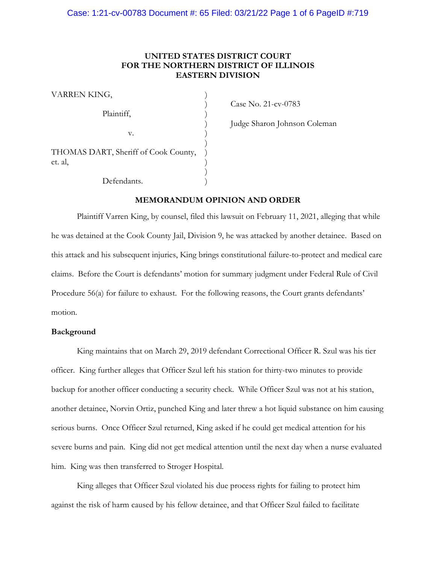# **UNITED STATES DISTRICT COURT FOR THE NORTHERN DISTRICT OF ILLINOIS EASTERN DIVISION**

| VARREN KING,                                    |  |
|-------------------------------------------------|--|
| Plaintiff,                                      |  |
| V.                                              |  |
| THOMAS DART, Sheriff of Cook County,<br>et. al, |  |
| Defendants.                                     |  |

) Case No. 21-cv-0783

) Judge Sharon Johnson Coleman

# **MEMORANDUM OPINION AND ORDER**

Plaintiff Varren King, by counsel, filed this lawsuit on February 11, 2021, alleging that while he was detained at the Cook County Jail, Division 9, he was attacked by another detainee. Based on this attack and his subsequent injuries, King brings constitutional failure-to-protect and medical care claims. Before the Court is defendants' motion for summary judgment under Federal Rule of Civil Procedure 56(a) for failure to exhaust. For the following reasons, the Court grants defendants' motion.

#### **Background**

King maintains that on March 29, 2019 defendant Correctional Officer R. Szul was his tier officer. King further alleges that Officer Szul left his station for thirty-two minutes to provide backup for another officer conducting a security check. While Officer Szul was not at his station, another detainee, Norvin Ortiz, punched King and later threw a hot liquid substance on him causing serious burns. Once Officer Szul returned, King asked if he could get medical attention for his severe burns and pain. King did not get medical attention until the next day when a nurse evaluated him. King was then transferred to Stroger Hospital.

King alleges that Officer Szul violated his due process rights for failing to protect him against the risk of harm caused by his fellow detainee, and that Officer Szul failed to facilitate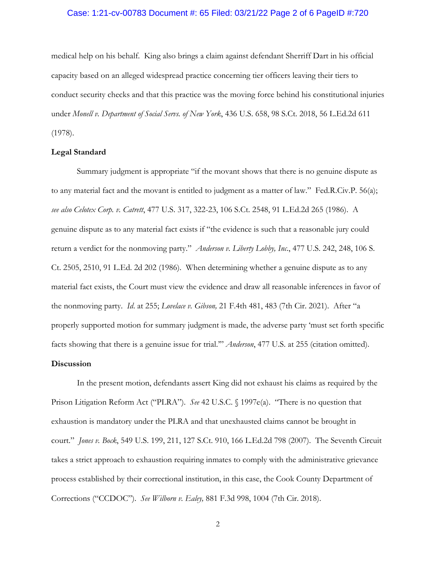#### Case: 1:21-cv-00783 Document #: 65 Filed: 03/21/22 Page 2 of 6 PageID #:720

medical help on his behalf. King also brings a claim against defendant Sherriff Dart in his official capacity based on an alleged widespread practice concerning tier officers leaving their tiers to conduct security checks and that this practice was the moving force behind his constitutional injuries under *Monell v. Department of Social Servs. of New York*, 436 U.S. 658, 98 S.Ct. 2018, 56 L.Ed.2d 611 (1978).

### **Legal Standard**

Summary judgment is appropriate "if the movant shows that there is no genuine dispute as to any material fact and the movant is entitled to judgment as a matter of law." Fed.R.Civ.P. 56(a); *see also Celotex Corp. v. Catrett*, 477 U.S. 317, 322-23, 106 S.Ct. 2548, 91 L.Ed.2d 265 (1986). A genuine dispute as to any material fact exists if "the evidence is such that a reasonable jury could return a verdict for the nonmoving party." *Anderson v. Liberty Lobby, Inc*., 477 U.S. 242, 248, 106 S. Ct. 2505, 2510, 91 L.Ed. 2d 202 (1986). When determining whether a genuine dispute as to any material fact exists, the Court must view the evidence and draw all reasonable inferences in favor of the nonmoving party. *Id*. at 255; *Lovelace v. Gibson,* 21 F.4th 481, 483 (7th Cir. 2021). After "a properly supported motion for summary judgment is made, the adverse party 'must set forth specific facts showing that there is a genuine issue for trial.'" *Anderson*, 477 U.S. at 255 (citation omitted).

## **Discussion**

In the present motion, defendants assert King did not exhaust his claims as required by the Prison Litigation Reform Act ("PLRA"). *See* 42 U.S.C. § 1997e(a). "There is no question that exhaustion is mandatory under the PLRA and that unexhausted claims cannot be brought in court." *Jones v. Bock*, 549 U.S. 199, 211, 127 S.Ct. 910, 166 L.Ed.2d 798 (2007). The Seventh Circuit takes a strict approach to exhaustion requiring inmates to comply with the administrative grievance process established by their correctional institution, in this case, the Cook County Department of Corrections ("CCDOC"). *See Wilborn v. Ealey,* 881 F.3d 998, 1004 (7th Cir. 2018).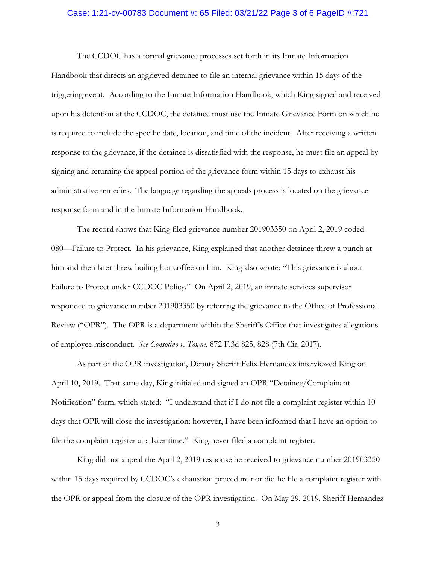#### Case: 1:21-cv-00783 Document #: 65 Filed: 03/21/22 Page 3 of 6 PageID #:721

The CCDOC has a formal grievance processes set forth in its Inmate Information Handbook that directs an aggrieved detainee to file an internal grievance within 15 days of the triggering event. According to the Inmate Information Handbook, which King signed and received upon his detention at the CCDOC, the detainee must use the Inmate Grievance Form on which he is required to include the specific date, location, and time of the incident. After receiving a written response to the grievance, if the detainee is dissatisfied with the response, he must file an appeal by signing and returning the appeal portion of the grievance form within 15 days to exhaust his administrative remedies. The language regarding the appeals process is located on the grievance response form and in the Inmate Information Handbook.

The record shows that King filed grievance number 201903350 on April 2, 2019 coded 080—Failure to Protect. In his grievance, King explained that another detainee threw a punch at him and then later threw boiling hot coffee on him. King also wrote: "This grievance is about Failure to Protect under CCDOC Policy." On April 2, 2019, an inmate services supervisor responded to grievance number 201903350 by referring the grievance to the Office of Professional Review ("OPR"). The OPR is a department within the Sheriff's Office that investigates allegations of employee misconduct. *See Consolino v. Towne*, 872 F.3d 825, 828 (7th Cir. 2017).

As part of the OPR investigation, Deputy Sheriff Felix Hernandez interviewed King on April 10, 2019. That same day, King initialed and signed an OPR "Detainee/Complainant Notification" form, which stated: "I understand that if I do not file a complaint register within 10 days that OPR will close the investigation: however, I have been informed that I have an option to file the complaint register at a later time." King never filed a complaint register.

King did not appeal the April 2, 2019 response he received to grievance number 201903350 within 15 days required by CCDOC's exhaustion procedure nor did he file a complaint register with the OPR or appeal from the closure of the OPR investigation. On May 29, 2019, Sheriff Hernandez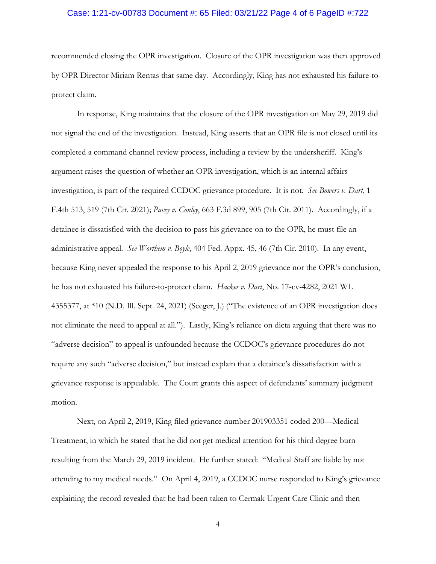#### Case: 1:21-cv-00783 Document #: 65 Filed: 03/21/22 Page 4 of 6 PageID #:722

recommended closing the OPR investigation. Closure of the OPR investigation was then approved by OPR Director Miriam Rentas that same day. Accordingly, King has not exhausted his failure-toprotect claim.

In response, King maintains that the closure of the OPR investigation on May 29, 2019 did not signal the end of the investigation. Instead, King asserts that an OPR file is not closed until its completed a command channel review process, including a review by the undersheriff. King's argument raises the question of whether an OPR investigation, which is an internal affairs investigation, is part of the required CCDOC grievance procedure. It is not. *See Bowers v. Dart*, 1 F.4th 513, 519 (7th Cir. 2021); *Pavey v. Conley*, 663 F.3d 899, 905 (7th Cir. 2011). Accordingly, if a detainee is dissatisfied with the decision to pass his grievance on to the OPR, he must file an administrative appeal. *See Worthem v. Boyle*, 404 Fed. Appx. 45, 46 (7th Cir. 2010). In any event, because King never appealed the response to his April 2, 2019 grievance nor the OPR's conclusion, he has not exhausted his failure-to-protect claim. *Hacker v. Dart*, No. 17-cv-4282, 2021 WL 4355377, at \*10 (N.D. Ill. Sept. 24, 2021) (Seeger, J.) ("The existence of an OPR investigation does not eliminate the need to appeal at all."). Lastly, King's reliance on dicta arguing that there was no "adverse decision" to appeal is unfounded because the CCDOC's grievance procedures do not require any such "adverse decision," but instead explain that a detainee's dissatisfaction with a grievance response is appealable. The Court grants this aspect of defendants' summary judgment motion.

Next, on April 2, 2019, King filed grievance number 201903351 coded 200—Medical Treatment, in which he stated that he did not get medical attention for his third degree burn resulting from the March 29, 2019 incident. He further stated: "Medical Staff are liable by not attending to my medical needs." On April 4, 2019, a CCDOC nurse responded to King's grievance explaining the record revealed that he had been taken to Cermak Urgent Care Clinic and then

4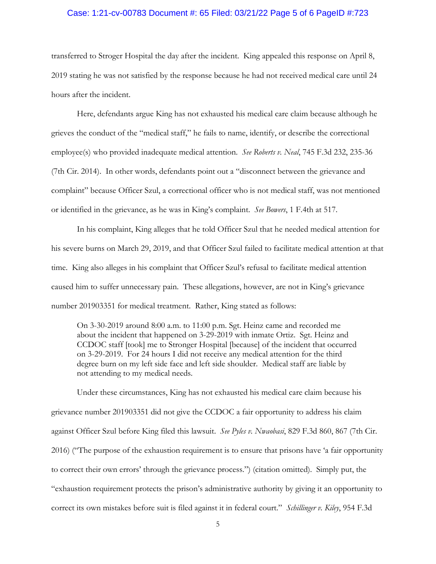#### Case: 1:21-cv-00783 Document #: 65 Filed: 03/21/22 Page 5 of 6 PageID #:723

transferred to Stroger Hospital the day after the incident. King appealed this response on April 8, 2019 stating he was not satisfied by the response because he had not received medical care until 24 hours after the incident.

Here, defendants argue King has not exhausted his medical care claim because although he grieves the conduct of the "medical staff," he fails to name, identify, or describe the correctional employee(s) who provided inadequate medical attention. *See Roberts v. Neal*, 745 F.3d 232, 235-36 (7th Cir. 2014). In other words, defendants point out a "disconnect between the grievance and complaint" because Officer Szul, a correctional officer who is not medical staff, was not mentioned or identified in the grievance, as he was in King's complaint. *See Bowers*, 1 F.4th at 517.

In his complaint, King alleges that he told Officer Szul that he needed medical attention for his severe burns on March 29, 2019, and that Officer Szul failed to facilitate medical attention at that time. King also alleges in his complaint that Officer Szul's refusal to facilitate medical attention caused him to suffer unnecessary pain. These allegations, however, are not in King's grievance number 201903351 for medical treatment. Rather, King stated as follows:

On 3-30-2019 around 8:00 a.m. to 11:00 p.m. Sgt. Heinz came and recorded me about the incident that happened on 3-29-2019 with inmate Ortiz. Sgt. Heinz and CCDOC staff [took] me to Stronger Hospital [because] of the incident that occurred on 3-29-2019. For 24 hours I did not receive any medical attention for the third degree burn on my left side face and left side shoulder. Medical staff are liable by not attending to my medical needs.

Under these circumstances, King has not exhausted his medical care claim because his grievance number 201903351 did not give the CCDOC a fair opportunity to address his claim against Officer Szul before King filed this lawsuit. *See Pyles v. Nwaobasi*, 829 F.3d 860, 867 (7th Cir. 2016) ("The purpose of the exhaustion requirement is to ensure that prisons have 'a fair opportunity to correct their own errors' through the grievance process.") (citation omitted). Simply put, the "exhaustion requirement protects the prison's administrative authority by giving it an opportunity to correct its own mistakes before suit is filed against it in federal court." *Schillinger v. Kiley*, 954 F.3d